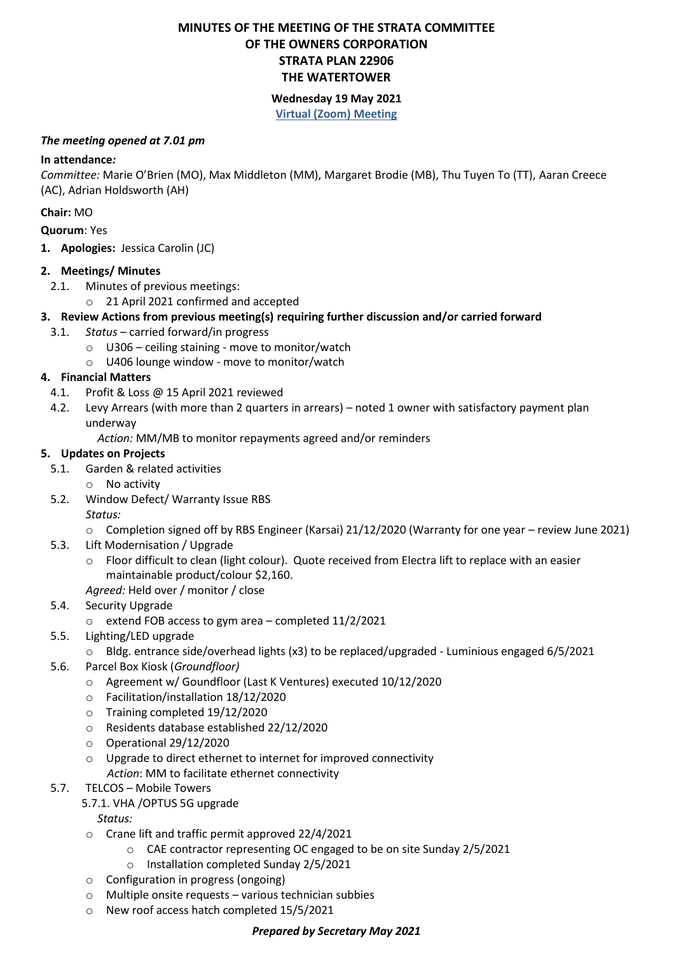## **MINUTES OF THE MEETING OF THE STRATA COMMITTEE OF THE OWNERS CORPORATION STRATA PLAN 22906 THE WATERTOWER**

# **Wednesday 19 May 2021**

#### **Virtual (Zoom) Meeting**

#### *The meeting opened at 7.01 pm*

#### **In attendance***:*

*Committee:* Marie O'Brien (MO), Max Middleton (MM), Margaret Brodie (MB), Thu Tuyen To (TT), Aaran Creece (AC), Adrian Holdsworth (AH)

#### **Chair:** MO

**Quorum**: Yes

**1. Apologies:** Jessica Carolin (JC)

## **2. Meetings/ Minutes**

- 2.1. Minutes of previous meetings:
	- o 21 April 2021 confirmed and accepted

# **3. Review Actions from previous meeting(s) requiring further discussion and/or carried forward**

- 3.1. *Status* carried forward/in progress
	- o U306 ceiling staining move to monitor/watch
	- o U406 lounge window move to monitor/watch

## **4. Financial Matters**

- 4.1. Profit & Loss @ 15 April 2021 reviewed
- 4.2. Levy Arrears (with more than 2 quarters in arrears) noted 1 owner with satisfactory payment plan underway
	- *Action:* MM/MB to monitor repayments agreed and/or reminders

## **5. Updates on Projects**

- 5.1. Garden & related activities
	- o No activity
- 5.2. Window Defect/ Warranty Issue RBS
	- *Status:*
	- o Completion signed off by RBS Engineer (Karsai) 21/12/2020 (Warranty for one year review June 2021)
- 5.3. Lift Modernisation / Upgrade
	- o Floor difficult to clean (light colour). Quote received from Electra lift to replace with an easier maintainable product/colour \$2,160.

*Agreed:* Held over / monitor / close

- 5.4. Security Upgrade
	- o extend FOB access to gym area completed 11/2/2021
- 5.5. Lighting/LED upgrade
	- o Bldg. entrance side/overhead lights (x3) to be replaced/upgraded Luminious engaged 6/5/2021
- 5.6. Parcel Box Kiosk (*Groundfloor)*
	- o Agreement w/ Goundfloor (Last K Ventures) executed 10/12/2020
	- o Facilitation/installation 18/12/2020
	- o Training completed 19/12/2020
	- o Residents database established 22/12/2020
	- o Operational 29/12/2020
	- o Upgrade to direct ethernet to internet for improved connectivity
	- *Action*: MM to facilitate ethernet connectivity

#### 5.7. TELCOS – Mobile Towers

#### 5.7.1. VHA /OPTUS 5G upgrade

*Status:*

- o Crane lift and traffic permit approved 22/4/2021
	- o CAE contractor representing OC engaged to be on site Sunday 2/5/2021
	- o Installation completed Sunday 2/5/2021
- o Configuration in progress (ongoing)
- o Multiple onsite requests various technician subbies
- o New roof access hatch completed 15/5/2021

#### *Prepared by Secretary May 2021*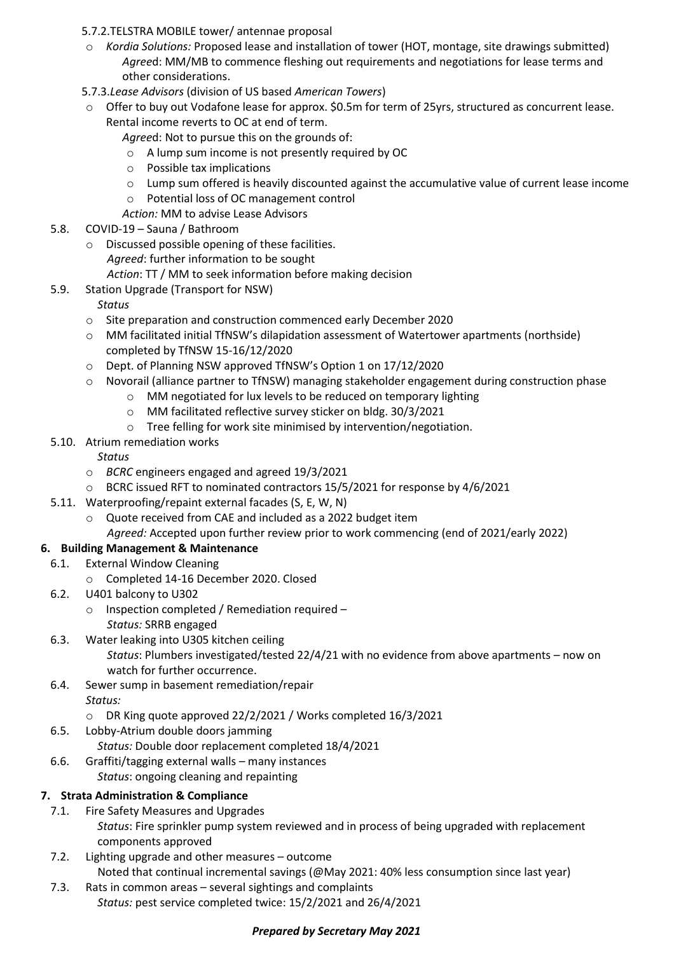#### 5.7.2.TELSTRA MOBILE tower/ antennae proposal

- o *Kordia Solutions:* Proposed lease and installation of tower (HOT, montage, site drawings submitted) *Agree*d: MM/MB to commence fleshing out requirements and negotiations for lease terms and other considerations.
- 5.7.3.*Lease Advisors* (division of US based *American Towers*)
- o Offer to buy out Vodafone lease for approx. \$0.5m for term of 25yrs, structured as concurrent lease. Rental income reverts to OC at end of term.

*Agree*d: Not to pursue this on the grounds of:

- o A lump sum income is not presently required by OC
- o Possible tax implications
- o Lump sum offered is heavily discounted against the accumulative value of current lease income
- o Potential loss of OC management control
- *Action:* MM to advise Lease Advisors
- 5.8. COVID-19 Sauna / Bathroom
	- o Discussed possible opening of these facilities. *Agreed*: further information to be sought *Action*: TT / MM to seek information before making decision
- 5.9. Station Upgrade (Transport for NSW)
	- *Status*
	- o Site preparation and construction commenced early December 2020
	- o MM facilitated initial TfNSW's dilapidation assessment of Watertower apartments (northside) completed by TfNSW 15-16/12/2020
	- o Dept. of Planning NSW approved TfNSW's Option 1 on 17/12/2020
	- o Novorail (alliance partner to TfNSW) managing stakeholder engagement during construction phase
		- o MM negotiated for lux levels to be reduced on temporary lighting
		- o MM facilitated reflective survey sticker on bldg. 30/3/2021
		- o Tree felling for work site minimised by intervention/negotiation.
- 5.10. Atrium remediation works

*Status*

- o *BCRC* engineers engaged and agreed 19/3/2021
- o BCRC issued RFT to nominated contractors 15/5/2021 for response by 4/6/2021
- 5.11. Waterproofing/repaint external facades (S, E, W, N)
	- o Quote received from CAE and included as a 2022 budget item
		- *Agreed:* Accepted upon further review prior to work commencing (end of 2021/early 2022)

# **6. Building Management & Maintenance**

- 6.1. External Window Cleaning
	- o Completed 14-16 December 2020. Closed
- 6.2. U401 balcony to U302
	- o Inspection completed / Remediation required *Status:* SRRB engaged
- 6.3. Water leaking into U305 kitchen ceiling *Status*: Plumbers investigated/tested 22/4/21 with no evidence from above apartments – now on watch for further occurrence.
- 6.4. Sewer sump in basement remediation/repair *Status:* 
	- o DR King quote approved 22/2/2021 / Works completed 16/3/2021
- 6.5. Lobby-Atrium double doors jamming

*Status:* Double door replacement completed 18/4/2021

6.6. Graffiti/tagging external walls – many instances *Status*: ongoing cleaning and repainting

# **7. Strata Administration & Compliance**

- 7.1. Fire Safety Measures and Upgrades *Status*: Fire sprinkler pump system reviewed and in process of being upgraded with replacement components approved
- 7.2. Lighting upgrade and other measures outcome Noted that continual incremental savings (@May 2021: 40% less consumption since last year)
- 7.3. Rats in common areas several sightings and complaints *Status:* pest service completed twice: 15/2/2021 and 26/4/2021

#### *Prepared by Secretary May 2021*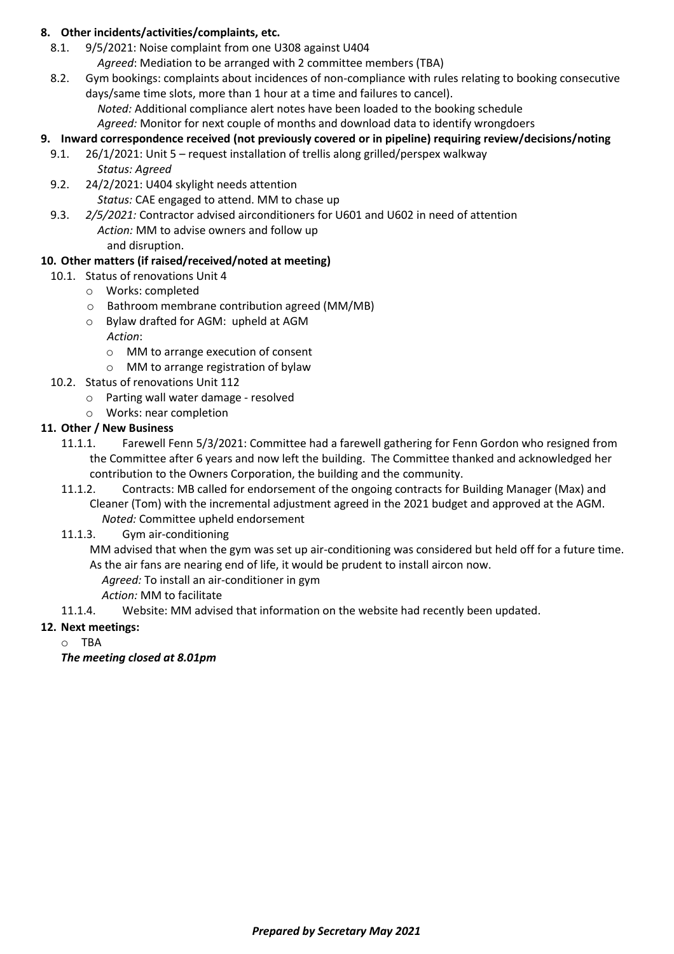#### **8. Other incidents/activities/complaints, etc.**

- 8.1. 9/5/2021: Noise complaint from one U308 against U404 *Agreed*: Mediation to be arranged with 2 committee members (TBA)
- 8.2. Gym bookings: complaints about incidences of non-compliance with rules relating to booking consecutive days/same time slots, more than 1 hour at a time and failures to cancel).

*Noted:* Additional compliance alert notes have been loaded to the booking schedule

*Agreed:* Monitor for next couple of months and download data to identify wrongdoers

## **9. Inward correspondence received (not previously covered or in pipeline) requiring review/decisions/noting**

- 9.1. 26/1/2021: Unit 5 request installation of trellis along grilled/perspex walkway *Status: Agreed*
- 9.2. 24/2/2021: U404 skylight needs attention *Status:* CAE engaged to attend. MM to chase up
- 9.3. *2/5/2021:* Contractor advised airconditioners for U601 and U602 in need of attention *Action:* MM to advise owners and follow up

and disruption.

# **10. Other matters (if raised/received/noted at meeting)**

- 10.1. Status of renovations Unit 4
	- o Works: completed
	- o Bathroom membrane contribution agreed (MM/MB)
	- o Bylaw drafted for AGM: upheld at AGM *Action*:
		- o MM to arrange execution of consent
		- o MM to arrange registration of bylaw
- 10.2. Status of renovations Unit 112
	- o Parting wall water damage resolved
	- o Works: near completion

# **11. Other / New Business**

- 11.1.1. Farewell Fenn 5/3/2021: Committee had a farewell gathering for Fenn Gordon who resigned from the Committee after 6 years and now left the building. The Committee thanked and acknowledged her contribution to the Owners Corporation, the building and the community.
- 11.1.2. Contracts: MB called for endorsement of the ongoing contracts for Building Manager (Max) and Cleaner (Tom) with the incremental adjustment agreed in the 2021 budget and approved at the AGM. *Noted:* Committee upheld endorsement
- 11.1.3. Gym air-conditioning

MM advised that when the gym was set up air-conditioning was considered but held off for a future time. As the air fans are nearing end of life, it would be prudent to install aircon now.

- *Agreed:* To install an air-conditioner in gym
- *Action:* MM to facilitate
- 11.1.4. Website: MM advised that information on the website had recently been updated.

#### **12. Next meetings:**

o TBA

*The meeting closed at 8.01pm*